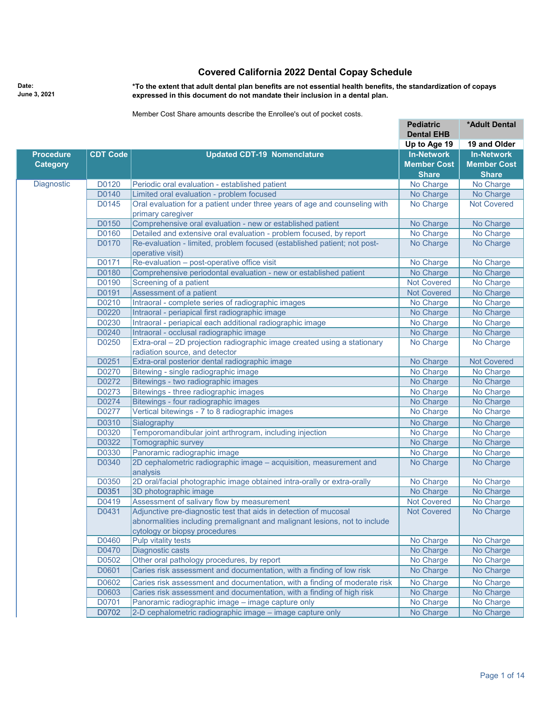## **Covered California 2022 Dental Copay Schedule**

**Date: June 3, 2021** **\*To the extent that adult dental plan benefits are not essential health benefits, the standardization of copays expressed in this document do not mandate their inclusion in a dental plan.**

Member Cost Share amounts describe the Enrollee's out of pocket costs.

|                   |                 |                                                                                | <b>Pediatric</b><br><b>Dental EHB</b> | *Adult Dental      |
|-------------------|-----------------|--------------------------------------------------------------------------------|---------------------------------------|--------------------|
|                   |                 |                                                                                | Up to Age 19                          | 19 and Older       |
| <b>Procedure</b>  | <b>CDT Code</b> | <b>Updated CDT-19 Nomenclature</b>                                             | <b>In-Network</b>                     | <b>In-Network</b>  |
| <b>Category</b>   |                 |                                                                                | <b>Member Cost</b>                    | <b>Member Cost</b> |
|                   |                 |                                                                                | <b>Share</b>                          | <b>Share</b>       |
| <b>Diagnostic</b> | D0120           | Periodic oral evaluation - established patient                                 | No Charge                             | No Charge          |
|                   | D0140           | Limited oral evaluation - problem focused                                      | No Charge                             | No Charge          |
|                   | D0145           | Oral evaluation for a patient under three years of age and counseling with     | No Charge                             | <b>Not Covered</b> |
|                   |                 | primary caregiver                                                              |                                       |                    |
|                   | D0150           | Comprehensive oral evaluation - new or established patient                     | No Charge                             | No Charge          |
|                   | D0160           | Detailed and extensive oral evaluation - problem focused, by report            | No Charge                             | No Charge          |
|                   | D0170           | Re-evaluation - limited, problem focused (established patient; not post-       | No Charge                             | No Charge          |
|                   |                 | operative visit)                                                               |                                       |                    |
|                   | D0171           | Re-evaluation - post-operative office visit                                    | No Charge                             | No Charge          |
|                   | D0180           | Comprehensive periodontal evaluation - new or established patient              | No Charge                             | No Charge          |
|                   | D0190           | Screening of a patient                                                         | <b>Not Covered</b>                    | No Charge          |
|                   | D0191           | Assessment of a patient                                                        | <b>Not Covered</b>                    | No Charge          |
|                   | D0210           | Intraoral - complete series of radiographic images                             | No Charge                             | No Charge          |
|                   | D0220           | Intraoral - periapical first radiographic image                                | No Charge                             | No Charge          |
|                   | D0230           | Intraoral - periapical each additional radiographic image                      | No Charge                             | No Charge          |
|                   | D0240           | Intraoral - occlusal radiographic image                                        | No Charge                             | No Charge          |
|                   | D0250           | Extra-oral - 2D projection radiographic image created using a stationary       | No Charge                             | No Charge          |
|                   |                 | radiation source, and detector                                                 |                                       |                    |
|                   | D0251           | Extra-oral posterior dental radiographic image                                 | No Charge                             | <b>Not Covered</b> |
|                   | D0270           | Bitewing - single radiographic image                                           | No Charge                             | No Charge          |
|                   | D0272           | Bitewings - two radiographic images                                            | No Charge                             | No Charge          |
|                   | D0273           | Bitewings - three radiographic images                                          | No Charge                             | No Charge          |
|                   | D0274           | Bitewings - four radiographic images                                           | No Charge                             | No Charge          |
|                   | D0277           | Vertical bitewings - 7 to 8 radiographic images                                | No Charge                             | No Charge          |
|                   | D0310           | Sialography                                                                    | No Charge                             | No Charge          |
|                   | D0320           | Temporomandibular joint arthrogram, including injection                        | No Charge                             | No Charge          |
|                   | D0322           | Tomographic survey                                                             | No Charge                             | No Charge          |
|                   | D0330           | Panoramic radiographic image                                                   | No Charge                             | No Charge          |
|                   | D0340           | 2D cephalometric radiographic image - acquisition, measurement and<br>analysis | No Charge                             | No Charge          |
|                   | D0350           | 2D oral/facial photographic image obtained intra-orally or extra-orally        | No Charge                             | No Charge          |
|                   | D0351           | 3D photographic image                                                          | No Charge                             | No Charge          |
|                   | D0419           | Assessment of salivary flow by measurement                                     | <b>Not Covered</b>                    | No Charge          |
|                   | D0431           | Adjunctive pre-diagnostic test that aids in detection of mucosal               | <b>Not Covered</b>                    | No Charge          |
|                   |                 | abnormalities including premalignant and malignant lesions, not to include     |                                       |                    |
|                   |                 | cytology or biopsy procedures                                                  |                                       |                    |
|                   | D0460           | Pulp vitality tests                                                            | No Charge                             | No Charge          |
|                   | D0470           | Diagnostic casts                                                               | No Charge                             | No Charge          |
|                   | D0502           | Other oral pathology procedures, by report                                     | No Charge                             | No Charge          |
|                   | D0601           | Caries risk assessment and documentation, with a finding of low risk           | No Charge                             | No Charge          |
|                   | D0602           | Caries risk assessment and documentation, with a finding of moderate risk      | No Charge                             | No Charge          |
|                   | D0603           | Caries risk assessment and documentation, with a finding of high risk          | No Charge                             | No Charge          |
|                   | D0701           | Panoramic radiographic image - image capture only                              | No Charge                             | No Charge          |
|                   | D0702           | 2-D cephalometric radiographic image - image capture only                      | No Charge                             | No Charge          |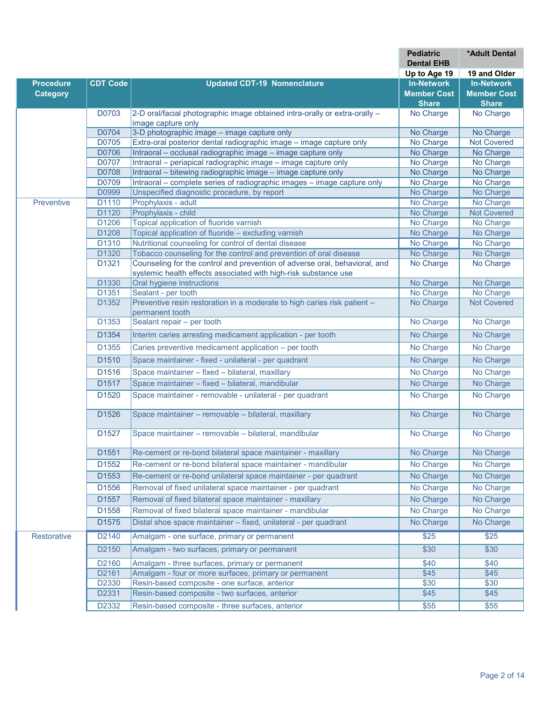|                  |                   |                                                                                                                        | <b>Pediatric</b><br><b>Dental EHB</b> | *Adult Dental          |
|------------------|-------------------|------------------------------------------------------------------------------------------------------------------------|---------------------------------------|------------------------|
|                  |                   |                                                                                                                        | Up to Age 19                          | 19 and Older           |
| <b>Procedure</b> | <b>CDT Code</b>   | <b>Updated CDT-19 Nomenclature</b>                                                                                     | <b>In-Network</b>                     | <b>In-Network</b>      |
| <b>Category</b>  |                   |                                                                                                                        | <b>Member Cost</b>                    | <b>Member Cost</b>     |
|                  |                   |                                                                                                                        | <b>Share</b>                          | <b>Share</b>           |
|                  | D0703             | 2-D oral/facial photographic image obtained intra-orally or extra-orally -                                             | No Charge                             | No Charge              |
|                  |                   | image capture only                                                                                                     |                                       |                        |
|                  | D0704             | 3-D photographic image - image capture only                                                                            | No Charge                             | No Charge              |
|                  | D0705             | Extra-oral posterior dental radiographic image - image capture only                                                    | No Charge                             | <b>Not Covered</b>     |
|                  | D0706             | Intraoral - occlusal radiographic image - image capture only                                                           | No Charge                             | No Charge              |
|                  | D0707             | Intraoral - periapical radiographic image - image capture only                                                         | No Charge                             | No Charge              |
|                  | D0708             | Intraoral - bitewing radiographic image - image capture only                                                           | No Charge                             | No Charge              |
|                  | D0709<br>D0999    | Intraoral – complete series of radiographic images – image capture only<br>Unspecified diagnostic procedure, by report | No Charge<br>No Charge                | No Charge              |
| Preventive       | D1110             | Prophylaxis - adult                                                                                                    | No Charge                             | No Charge<br>No Charge |
|                  | D1120             | Prophylaxis - child                                                                                                    | No Charge                             | <b>Not Covered</b>     |
|                  | D1206             | Topical application of fluoride varnish                                                                                | No Charge                             | No Charge              |
|                  | D1208             | Topical application of fluoride - excluding varnish                                                                    | No Charge                             | No Charge              |
|                  | D1310             | Nutritional counseling for control of dental disease                                                                   | No Charge                             | No Charge              |
|                  | D <sub>1320</sub> | Tobacco counseling for the control and prevention of oral disease                                                      | No Charge                             | No Charge              |
|                  | D1321             | Counseling for the control and prevention of adverse oral, behavioral, and                                             | No Charge                             | No Charge              |
|                  |                   | systemic health effects associated with high-risk substance use                                                        |                                       |                        |
|                  | D <sub>1330</sub> | Oral hygiene instructions                                                                                              | No Charge                             | No Charge              |
|                  | D1351             | Sealant - per tooth                                                                                                    | No Charge                             | No Charge              |
|                  | D1352             | Preventive resin restoration in a moderate to high caries risk patient -<br>permanent tooth                            | No Charge                             | <b>Not Covered</b>     |
|                  | D1353             | Sealant repair - per tooth                                                                                             | No Charge                             | No Charge              |
|                  | D1354             | Interim caries arresting medicament application - per tooth                                                            | No Charge                             | No Charge              |
|                  | D1355             | Caries preventive medicament application - per tooth                                                                   | No Charge                             | No Charge              |
|                  | D1510             | Space maintainer - fixed - unilateral - per quadrant                                                                   | No Charge                             | No Charge              |
|                  | D <sub>1516</sub> | Space maintainer - fixed - bilateral, maxillary                                                                        | No Charge                             | No Charge              |
|                  | D1517             | Space maintainer - fixed - bilateral, mandibular                                                                       | No Charge                             | No Charge              |
|                  | D1520             | Space maintainer - removable - unilateral - per quadrant                                                               | No Charge                             | No Charge              |
|                  |                   |                                                                                                                        |                                       |                        |
|                  | D1526             | Space maintainer - removable - bilateral, maxillary                                                                    | No Charge                             | No Charge              |
|                  | D1527             | Space maintainer - removable - bilateral, mandibular                                                                   | No Charge                             | No Charge              |
|                  | D1551             | Re-cement or re-bond bilateral space maintainer - maxillary                                                            | No Charge                             | No Charge              |
|                  | D1552             | Re-cement or re-bond bilateral space maintainer - mandibular                                                           | No Charge                             | No Charge              |
|                  | D1553             | Re-cement or re-bond unilateral space maintainer - per quadrant                                                        | No Charge                             | No Charge              |
|                  | D1556             | Removal of fixed unilateral space maintainer - per quadrant                                                            | No Charge                             | No Charge              |
|                  | D <sub>1557</sub> | Removal of fixed bilateral space maintainer - maxillary                                                                | No Charge                             | No Charge              |
|                  | D1558             | Removal of fixed bilateral space maintainer - mandibular                                                               | No Charge                             | No Charge              |
|                  | D1575             | Distal shoe space maintainer - fixed, unilateral - per quadrant                                                        | No Charge                             | No Charge              |
| Restorative      | D2140             | Amalgam - one surface, primary or permanent                                                                            | \$25                                  | \$25                   |
|                  | D2150             | Amalgam - two surfaces, primary or permanent                                                                           | \$30                                  | \$30                   |
|                  | D2160             | Amalgam - three surfaces, primary or permanent                                                                         | \$40                                  | \$40                   |
|                  | D2161             | Amalgam - four or more surfaces, primary or permanent                                                                  | \$45                                  | \$45                   |
|                  | D2330             | Resin-based composite - one surface, anterior                                                                          | \$30                                  | \$30                   |
|                  | D2331             | Resin-based composite - two surfaces, anterior                                                                         | \$45                                  | \$45                   |
|                  | D2332             | Resin-based composite - three surfaces, anterior                                                                       | \$55                                  | \$55                   |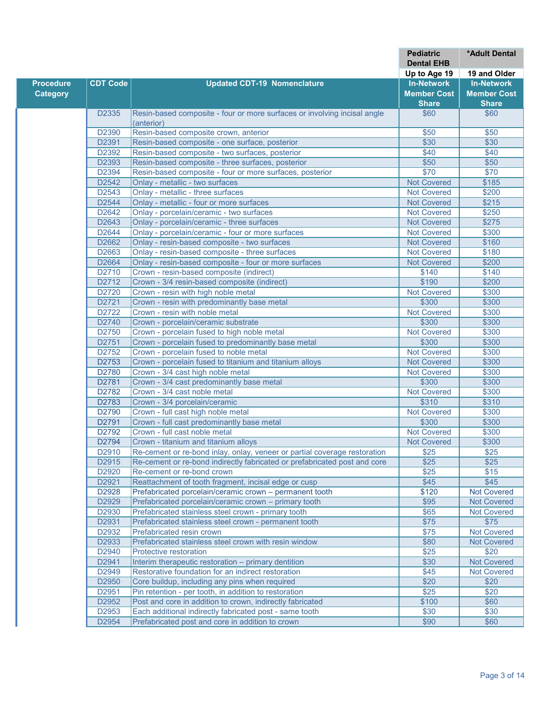|                  |                   |                                                                           | <b>Pediatric</b><br><b>Dental EHB</b> | *Adult Dental      |
|------------------|-------------------|---------------------------------------------------------------------------|---------------------------------------|--------------------|
|                  |                   |                                                                           | Up to Age 19                          | 19 and Older       |
| <b>Procedure</b> | <b>CDT Code</b>   | <b>Updated CDT-19 Nomenclature</b>                                        | <b>In-Network</b>                     | <b>In-Network</b>  |
| <b>Category</b>  |                   |                                                                           | <b>Member Cost</b>                    | <b>Member Cost</b> |
|                  |                   |                                                                           | <b>Share</b>                          | <b>Share</b>       |
|                  | D2335             | Resin-based composite - four or more surfaces or involving incisal angle  | \$60                                  | \$60               |
|                  |                   | (anterior)                                                                |                                       |                    |
|                  | D2390             | Resin-based composite crown, anterior                                     | \$50                                  | \$50               |
|                  | D2391             | Resin-based composite - one surface, posterior                            | \$30                                  | \$30               |
|                  | D2392             | Resin-based composite - two surfaces, posterior                           | \$40                                  | \$40               |
|                  | D2393             | Resin-based composite - three surfaces, posterior                         | \$50                                  | \$50               |
|                  | D2394             | Resin-based composite - four or more surfaces, posterior                  | \$70                                  | \$70               |
|                  | D2542             | Onlay - metallic - two surfaces                                           | <b>Not Covered</b>                    | \$185              |
|                  | D <sub>2543</sub> | Onlay - metallic - three surfaces                                         | <b>Not Covered</b>                    | \$200              |
|                  | D2544             | Onlay - metallic - four or more surfaces                                  | <b>Not Covered</b>                    | \$215              |
|                  | D2642             | Onlay - porcelain/ceramic - two surfaces                                  | <b>Not Covered</b>                    | \$250              |
|                  | D2643             | Onlay - porcelain/ceramic - three surfaces                                | <b>Not Covered</b>                    | \$275              |
|                  | D2644             | Onlay - porcelain/ceramic - four or more surfaces                         | <b>Not Covered</b>                    | \$300              |
|                  | D2662             | Onlay - resin-based composite - two surfaces                              | <b>Not Covered</b>                    | \$160              |
|                  | D2663             | Onlay - resin-based composite - three surfaces                            | <b>Not Covered</b>                    | \$180              |
|                  | D2664             | Onlay - resin-based composite - four or more surfaces                     | <b>Not Covered</b>                    | \$200              |
|                  | D2710             | Crown - resin-based composite (indirect)                                  | \$140                                 | \$140              |
|                  | D2712             | Crown - 3/4 resin-based composite (indirect)                              | \$190                                 | \$200              |
|                  | D2720             | Crown - resin with high noble metal                                       | <b>Not Covered</b>                    | \$300              |
|                  | D2721             | Crown - resin with predominantly base metal                               | \$300                                 | \$300              |
|                  | D2722             | Crown - resin with noble metal                                            | <b>Not Covered</b>                    | \$300              |
|                  | D2740             | Crown - porcelain/ceramic substrate                                       | \$300                                 | \$300              |
|                  | D2750             | Crown - porcelain fused to high noble metal                               | <b>Not Covered</b>                    | \$300              |
|                  | D2751             | Crown - porcelain fused to predominantly base metal                       | \$300                                 | \$300              |
|                  | D2752             | Crown - porcelain fused to noble metal                                    | <b>Not Covered</b>                    | \$300              |
|                  | D2753             | Crown - porcelain fused to titanium and titanium alloys                   | <b>Not Covered</b>                    | \$300              |
|                  | D2780             | Crown - 3/4 cast high noble metal                                         | <b>Not Covered</b>                    | \$300              |
|                  | D2781             | Crown - 3/4 cast predominantly base metal                                 | \$300                                 | \$300              |
|                  | D2782             | Crown - 3/4 cast noble metal                                              | <b>Not Covered</b>                    | \$300              |
|                  | D2783             | Crown - 3/4 porcelain/ceramic                                             | \$310                                 | \$310              |
|                  | D2790             | Crown - full cast high noble metal                                        | <b>Not Covered</b>                    | \$300              |
|                  | D2791             | Crown - full cast predominantly base metal                                | \$300                                 | \$300              |
|                  | D2792             | Crown - full cast noble metal                                             | <b>Not Covered</b>                    | \$300              |
|                  | D2794             | Crown - titanium and titanium alloys                                      | <b>Not Covered</b>                    | \$300              |
|                  | D2910             | Re-cement or re-bond inlay, onlay, veneer or partial coverage restoration | \$25                                  | \$25               |
|                  | D2915             | Re-cement or re-bond indirectly fabricated or prefabricated post and core | \$25                                  | \$25               |
|                  | D2920             | Re-cement or re-bond crown                                                | \$25                                  | \$15               |
|                  | D2921             | Reattachment of tooth fragment, incisal edge or cusp                      | \$45                                  | \$45               |
|                  | D2928             | Prefabricated porcelain/ceramic crown - permanent tooth                   | \$120                                 | <b>Not Covered</b> |
|                  | D2929             | Prefabricated porcelain/ceramic crown - primary tooth                     | \$95                                  | <b>Not Covered</b> |
|                  | D2930             | Prefabricated stainless steel crown - primary tooth                       | \$65                                  | Not Covered        |
|                  | D2931             | Prefabricated stainless steel crown - permanent tooth                     | \$75                                  | \$75               |
|                  | D2932             | Prefabricated resin crown                                                 | \$75                                  | <b>Not Covered</b> |
|                  | D2933             | Prefabricated stainless steel crown with resin window                     | \$80                                  | <b>Not Covered</b> |
|                  | D2940             | Protective restoration                                                    | \$25                                  | \$20               |
|                  | D2941             | Interim therapeutic restoration - primary dentition                       | \$30                                  | <b>Not Covered</b> |
|                  | D2949             | Restorative foundation for an indirect restoration                        | \$45                                  | <b>Not Covered</b> |
|                  | D2950             | Core buildup, including any pins when required                            | \$20                                  | \$20               |
|                  | D2951             | Pin retention - per tooth, in addition to restoration                     | \$25                                  | \$20               |
|                  | D2952             | Post and core in addition to crown, indirectly fabricated                 | \$100                                 | \$60               |
|                  | D2953             | Each additional indirectly fabricated post - same tooth                   | \$30                                  | \$30               |
|                  | D2954             | Prefabricated post and core in addition to crown                          | \$90                                  | \$60               |
|                  |                   |                                                                           |                                       |                    |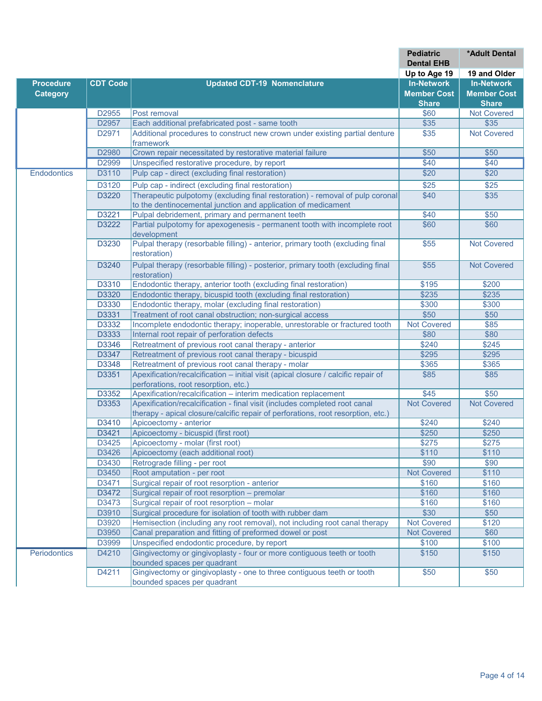|                    |                 |                                                                                                       | <b>Pediatric</b><br><b>Dental EHB</b> | <b>*Adult Dental</b> |
|--------------------|-----------------|-------------------------------------------------------------------------------------------------------|---------------------------------------|----------------------|
|                    |                 |                                                                                                       | Up to Age 19                          | 19 and Older         |
| <b>Procedure</b>   | <b>CDT Code</b> | <b>Updated CDT-19 Nomenclature</b>                                                                    | <b>In-Network</b>                     | <b>In-Network</b>    |
| <b>Category</b>    |                 |                                                                                                       | <b>Member Cost</b>                    | <b>Member Cost</b>   |
|                    |                 |                                                                                                       | <b>Share</b>                          | <b>Share</b>         |
|                    | D2955           | Post removal                                                                                          | \$60                                  | <b>Not Covered</b>   |
|                    | D2957           | Each additional prefabricated post - same tooth                                                       | \$35                                  | \$35                 |
|                    | D2971           | Additional procedures to construct new crown under existing partial denture                           | \$35                                  | <b>Not Covered</b>   |
|                    |                 | framework                                                                                             |                                       |                      |
|                    | D2980           | Crown repair necessitated by restorative material failure                                             | \$50                                  | \$50                 |
|                    | D2999           | Unspecified restorative procedure, by report                                                          | \$40                                  | \$40                 |
| <b>Endodontics</b> | D3110           | Pulp cap - direct (excluding final restoration)                                                       | \$20                                  | \$20                 |
|                    | D3120           | Pulp cap - indirect (excluding final restoration)                                                     | \$25                                  | \$25                 |
|                    | D3220           | Therapeutic pulpotomy (excluding final restoration) - removal of pulp coronal                         | \$40                                  | \$35                 |
|                    |                 | to the dentinocemental junction and application of medicament                                         |                                       |                      |
|                    | D3221           | Pulpal debridement, primary and permanent teeth                                                       | \$40                                  | \$50                 |
|                    | D3222           | Partial pulpotomy for apexogenesis - permanent tooth with incomplete root                             | \$60                                  | \$60                 |
|                    |                 | development                                                                                           |                                       |                      |
|                    | D3230           | Pulpal therapy (resorbable filling) - anterior, primary tooth (excluding final                        | \$55                                  | <b>Not Covered</b>   |
|                    |                 | restoration)                                                                                          |                                       |                      |
|                    | D3240           | Pulpal therapy (resorbable filling) - posterior, primary tooth (excluding final                       | \$55                                  | <b>Not Covered</b>   |
|                    |                 | restoration)                                                                                          |                                       |                      |
|                    | D3310           | Endodontic therapy, anterior tooth (excluding final restoration)                                      | \$195                                 | \$200                |
|                    | D3320           | Endodontic therapy, bicuspid tooth (excluding final restoration)                                      | \$235                                 | \$235                |
|                    | D3330           | Endodontic therapy, molar (excluding final restoration)                                               | \$300                                 | \$300                |
|                    | D3331           | Treatment of root canal obstruction; non-surgical access                                              | \$50                                  | \$50                 |
|                    | D3332           | Incomplete endodontic therapy; inoperable, unrestorable or fractured tooth                            | <b>Not Covered</b>                    | \$85                 |
|                    | D3333           | Internal root repair of perforation defects                                                           | \$80                                  | \$80                 |
|                    | D3346           | Retreatment of previous root canal therapy - anterior                                                 | \$240                                 | \$245                |
|                    | D3347           | Retreatment of previous root canal therapy - bicuspid                                                 | \$295                                 | \$295                |
|                    | D3348           | Retreatment of previous root canal therapy - molar                                                    | \$365                                 | \$365                |
|                    | D3351           | Apexification/recalcification - initial visit (apical closure / calcific repair of                    | \$85                                  | \$85                 |
|                    |                 | perforations, root resorption, etc.)                                                                  |                                       |                      |
|                    | D3352           | Apexification/recalcification - interim medication replacement                                        | \$45                                  | \$50                 |
|                    | D3353           | Apexification/recalcification - final visit (includes completed root canal                            | <b>Not Covered</b>                    | <b>Not Covered</b>   |
|                    |                 | therapy - apical closure/calcific repair of perforations, root resorption, etc.)                      |                                       |                      |
|                    | D3410           | Apicoectomy - anterior                                                                                | \$240                                 | \$240                |
|                    | D3421           | Apicoectomy - bicuspid (first root)                                                                   | \$250                                 | \$250                |
|                    | D3425           | Apicoectomy - molar (first root)                                                                      | \$275                                 | \$275                |
|                    | D3426           | Apicoectomy (each additional root)                                                                    | \$110                                 | \$110                |
|                    | D3430           | Retrograde filling - per root                                                                         | \$90                                  | \$90                 |
|                    | D3450           | Root amputation - per root                                                                            | <b>Not Covered</b>                    | \$110                |
|                    | D3471           | Surgical repair of root resorption - anterior                                                         | \$160                                 | \$160                |
|                    | D3472           | Surgical repair of root resorption – premolar                                                         | \$160                                 | \$160                |
|                    | D3473           | Surgical repair of root resorption - molar                                                            | \$160                                 | \$160                |
|                    | D3910           | Surgical procedure for isolation of tooth with rubber dam                                             | \$30                                  | \$50                 |
|                    | D3920           | Hemisection (including any root removal), not including root canal therapy                            | <b>Not Covered</b>                    | \$120                |
|                    | D3950           | Canal preparation and fitting of preformed dowel or post                                              | <b>Not Covered</b>                    | \$60                 |
|                    | D3999           | Unspecified endodontic procedure, by report                                                           | \$100                                 | \$100                |
| Periodontics       | D4210           | Gingivectomy or gingivoplasty - four or more contiguous teeth or tooth<br>bounded spaces per quadrant | \$150                                 | \$150                |
|                    | D4211           | Gingivectomy or gingivoplasty - one to three contiguous teeth or tooth                                | \$50                                  | \$50                 |
|                    |                 | bounded spaces per quadrant                                                                           |                                       |                      |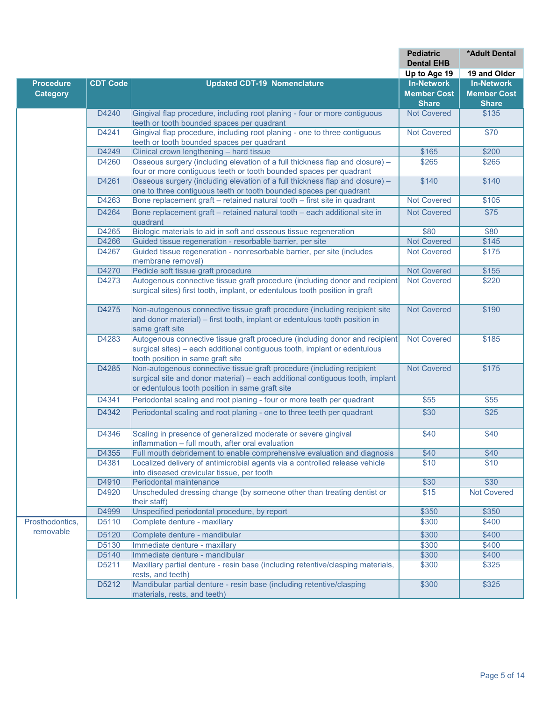|                  |                 |                                                                                 | <b>Pediatric</b><br><b>Dental EHB</b> | <b>*Adult Dental</b> |
|------------------|-----------------|---------------------------------------------------------------------------------|---------------------------------------|----------------------|
|                  |                 |                                                                                 | Up to Age 19                          | 19 and Older         |
| <b>Procedure</b> | <b>CDT Code</b> | <b>Updated CDT-19 Nomenclature</b>                                              | <b>In-Network</b>                     | <b>In-Network</b>    |
| <b>Category</b>  |                 |                                                                                 | <b>Member Cost</b>                    | <b>Member Cost</b>   |
|                  |                 |                                                                                 | <b>Share</b>                          | <b>Share</b>         |
|                  | D4240           | Gingival flap procedure, including root planing - four or more contiguous       | <b>Not Covered</b>                    | \$135                |
|                  |                 | teeth or tooth bounded spaces per quadrant                                      |                                       |                      |
|                  | D4241           | Gingival flap procedure, including root planing - one to three contiguous       | <b>Not Covered</b>                    | \$70                 |
|                  |                 | teeth or tooth bounded spaces per quadrant                                      |                                       |                      |
|                  | D4249           | Clinical crown lengthening - hard tissue                                        | \$165                                 | \$200                |
|                  | D4260           | Osseous surgery (including elevation of a full thickness flap and closure) -    | \$265                                 | \$265                |
|                  |                 | four or more contiguous teeth or tooth bounded spaces per quadrant              |                                       |                      |
|                  | D4261           | Osseous surgery (including elevation of a full thickness flap and closure) -    | \$140                                 | \$140                |
|                  |                 | one to three contiguous teeth or tooth bounded spaces per quadrant              |                                       |                      |
|                  | D4263           | Bone replacement graft - retained natural tooth - first site in quadrant        | <b>Not Covered</b>                    | \$105                |
|                  |                 |                                                                                 |                                       |                      |
|                  | D4264           | Bone replacement graft - retained natural tooth - each additional site in       | <b>Not Covered</b>                    | \$75                 |
|                  |                 | quadrant                                                                        |                                       |                      |
|                  | D4265           | Biologic materials to aid in soft and osseous tissue regeneration               | \$80                                  | \$80                 |
|                  | D4266           | Guided tissue regeneration - resorbable barrier, per site                       | <b>Not Covered</b>                    | \$145                |
|                  | D4267           | Guided tissue regeneration - nonresorbable barrier, per site (includes          | <b>Not Covered</b>                    | \$175                |
|                  |                 | membrane removal)                                                               |                                       |                      |
|                  | D4270           | Pedicle soft tissue graft procedure                                             | <b>Not Covered</b>                    | \$155                |
|                  | D4273           | Autogenous connective tissue graft procedure (including donor and recipient     | <b>Not Covered</b>                    | \$220                |
|                  |                 | surgical sites) first tooth, implant, or edentulous tooth position in graft     |                                       |                      |
|                  |                 |                                                                                 |                                       |                      |
|                  | D4275           | Non-autogenous connective tissue graft procedure (including recipient site      | <b>Not Covered</b>                    | \$190                |
|                  |                 | and donor material) - first tooth, implant or edentulous tooth position in      |                                       |                      |
|                  |                 | same graft site                                                                 |                                       |                      |
|                  | D4283           | Autogenous connective tissue graft procedure (including donor and recipient     | <b>Not Covered</b>                    | \$185                |
|                  |                 | surgical sites) - each additional contiguous tooth, implant or edentulous       |                                       |                      |
|                  |                 | tooth position in same graft site                                               |                                       |                      |
|                  | D4285           | Non-autogenous connective tissue graft procedure (including recipient           | <b>Not Covered</b>                    | \$175                |
|                  |                 | surgical site and donor material) - each additional contiguous tooth, implant   |                                       |                      |
|                  |                 | or edentulous tooth position in same graft site                                 |                                       |                      |
|                  | D4341           | Periodontal scaling and root planing - four or more teeth per quadrant          | \$55                                  | \$55                 |
|                  | D4342           | Periodontal scaling and root planing - one to three teeth per quadrant          | \$30                                  | \$25                 |
|                  |                 |                                                                                 |                                       |                      |
|                  | D4346           | Scaling in presence of generalized moderate or severe gingival                  | \$40                                  | \$40                 |
|                  |                 | inflammation - full mouth, after oral evaluation                                |                                       |                      |
|                  | D4355           | Full mouth debridement to enable comprehensive evaluation and diagnosis         | \$40                                  | \$40                 |
|                  | D4381           | Localized delivery of antimicrobial agents via a controlled release vehicle     | \$10                                  | \$10                 |
|                  |                 | into diseased crevicular tissue, per tooth                                      |                                       |                      |
|                  | D4910           | Periodontal maintenance                                                         | \$30                                  | \$30                 |
|                  | D4920           | Unscheduled dressing change (by someone other than treating dentist or          | \$15                                  | <b>Not Covered</b>   |
|                  |                 | their staff)                                                                    |                                       |                      |
|                  | D4999           | Unspecified periodontal procedure, by report                                    | \$350                                 | \$350                |
| Prosthodontics,  | D5110           | Complete denture - maxillary                                                    | \$300                                 | \$400                |
| removable        |                 |                                                                                 |                                       |                      |
|                  | D5120           | Complete denture - mandibular                                                   | \$300                                 | \$400                |
|                  | D5130           | Immediate denture - maxillary                                                   | \$300                                 | \$400                |
|                  | D5140           | Immediate denture - mandibular                                                  | \$300                                 | \$400                |
|                  | D5211           | Maxillary partial denture - resin base (including retentive/clasping materials, | \$300                                 | \$325                |
|                  |                 | rests, and teeth)                                                               |                                       |                      |
|                  | D5212           | Mandibular partial denture - resin base (including retentive/clasping           | \$300                                 | \$325                |
|                  |                 | materials, rests, and teeth)                                                    |                                       |                      |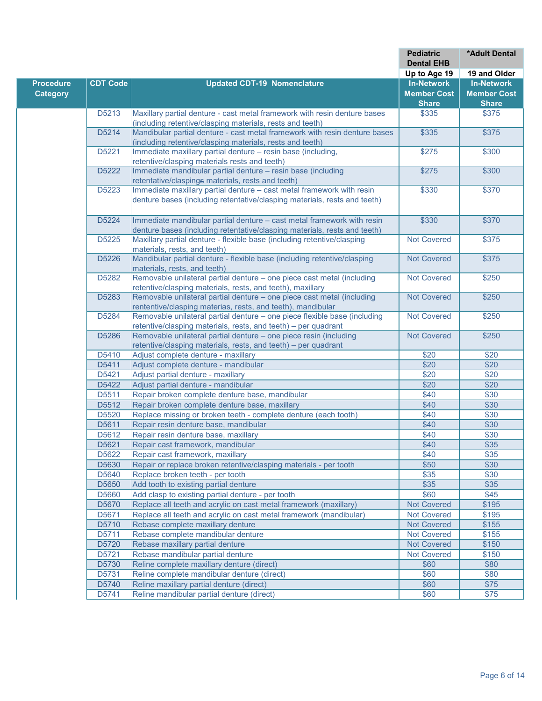|                  |                 |                                                                                                       | <b>Pediatric</b><br><b>Dental EHB</b> | *Adult Dental      |
|------------------|-----------------|-------------------------------------------------------------------------------------------------------|---------------------------------------|--------------------|
|                  |                 |                                                                                                       | Up to Age 19                          | 19 and Older       |
| <b>Procedure</b> | <b>CDT Code</b> | <b>Updated CDT-19 Nomenclature</b>                                                                    | <b>In-Network</b>                     | <b>In-Network</b>  |
| <b>Category</b>  |                 |                                                                                                       | <b>Member Cost</b>                    | <b>Member Cost</b> |
|                  |                 |                                                                                                       | <b>Share</b>                          | <b>Share</b>       |
|                  | D5213           | Maxillary partial denture - cast metal framework with resin denture bases                             | \$335                                 | \$375              |
|                  |                 | (including retentive/clasping materials, rests and teeth)                                             |                                       |                    |
|                  | D5214           | Mandibular partial denture - cast metal framework with resin denture bases                            | \$335                                 | \$375              |
|                  |                 | (including retentive/clasping materials, rests and teeth)                                             |                                       |                    |
|                  | D5221           | Immediate maxillary partial denture - resin base (including,                                          | \$275                                 | \$300              |
|                  |                 | retentive/clasping materials rests and teeth)                                                         |                                       |                    |
|                  | D5222           | Immediate mandibular partial denture - resin base (including                                          | \$275                                 | \$300              |
|                  |                 | retentative/claspings materials, rests and teeth)                                                     |                                       |                    |
|                  | D5223           | Immediate maxillary partial denture - cast metal framework with resin                                 | \$330                                 | \$370              |
|                  |                 | denture bases (including retentative/clasping materials, rests and teeth)                             |                                       |                    |
|                  |                 |                                                                                                       |                                       |                    |
|                  | D5224           | Immediate mandibular partial denture - cast metal framework with resin                                | \$330                                 | \$370              |
|                  |                 | denture bases (including retentative/clasping materials, rests and teeth)                             |                                       |                    |
|                  | D5225           | Maxillary partial denture - flexible base (including retentive/clasping                               | <b>Not Covered</b>                    | $\overline{$}375$  |
|                  |                 | materials, rests, and teeth)                                                                          |                                       |                    |
|                  | D5226           | Mandibular partial denture - flexible base (including retentive/clasping                              | <b>Not Covered</b>                    | \$375              |
|                  |                 | materials, rests, and teeth)                                                                          |                                       |                    |
|                  | D5282           | Removable unilateral partial denture - one piece cast metal (including                                | <b>Not Covered</b>                    | \$250              |
|                  |                 | retentive/clasping materials, rests, and teeth), maxillary                                            |                                       |                    |
|                  | D5283           | Removable unilateral partial denture - one piece cast metal (including                                | <b>Not Covered</b>                    | \$250              |
|                  |                 | rententive/clasping materias, rests, and teeth), mandibular                                           |                                       |                    |
|                  | D5284           | Removable unilateral partial denture - one piece flexible base (including                             | <b>Not Covered</b>                    | \$250              |
|                  |                 | retentive/clasping materials, rests, and teeth) - per quadrant                                        |                                       |                    |
|                  | D5286           | Removable unilateral partial denture - one piece resin (including                                     | <b>Not Covered</b>                    | \$250              |
|                  | D5410           | retentive/clasping materials, rests, and teeth) - per quadrant<br>Adjust complete denture - maxillary | \$20                                  | \$20               |
|                  | D5411           | Adjust complete denture - mandibular                                                                  | \$20                                  | \$20               |
|                  | D5421           | Adjust partial denture - maxillary                                                                    | \$20                                  | \$20               |
|                  | D5422           | Adjust partial denture - mandibular                                                                   | \$20                                  | \$20               |
|                  | D5511           | Repair broken complete denture base, mandibular                                                       | \$40                                  | \$30               |
|                  | D5512           | Repair broken complete denture base, maxillary                                                        | \$40                                  | \$30               |
|                  | D5520           | Replace missing or broken teeth - complete denture (each tooth)                                       | \$40                                  | \$30               |
|                  | D5611           | Repair resin denture base, mandibular                                                                 | \$40                                  | \$30               |
|                  | D5612           | Repair resin denture base, maxillary                                                                  | \$40                                  | \$30               |
|                  | D5621           | Repair cast framework, mandibular                                                                     | \$40                                  | \$35               |
|                  | D5622           | Repair cast framework, maxillary                                                                      | \$40                                  | \$35               |
|                  | D5630           | Repair or replace broken retentive/clasping materials - per tooth                                     | \$50                                  | \$30               |
|                  | D5640           | Replace broken teeth - per tooth                                                                      | \$35                                  | \$30               |
|                  | D5650           | Add tooth to existing partial denture                                                                 | \$35                                  | \$35               |
|                  | D5660           | Add clasp to existing partial denture - per tooth                                                     | \$60                                  | \$45               |
|                  | D5670           | Replace all teeth and acrylic on cast metal framework (maxillary)                                     | <b>Not Covered</b>                    | \$195              |
|                  | D5671           | Replace all teeth and acrylic on cast metal framework (mandibular)                                    | <b>Not Covered</b>                    | \$195              |
|                  | D5710           | Rebase complete maxillary denture                                                                     | <b>Not Covered</b>                    | \$155              |
|                  | D5711           | Rebase complete mandibular denture                                                                    | <b>Not Covered</b>                    | \$155              |
|                  | D5720           | Rebase maxillary partial denture                                                                      | <b>Not Covered</b>                    | \$150              |
|                  | D5721           | Rebase mandibular partial denture                                                                     | <b>Not Covered</b>                    | \$150              |
|                  | D5730           | Reline complete maxillary denture (direct)                                                            | \$60                                  | \$80               |
|                  | D5731           | Reline complete mandibular denture (direct)                                                           | \$60                                  | \$80               |
|                  | D5740           | Reline maxillary partial denture (direct)                                                             | \$60                                  | \$75               |
|                  | D5741           | Reline mandibular partial denture (direct)                                                            | \$60                                  | \$75               |
|                  |                 |                                                                                                       |                                       |                    |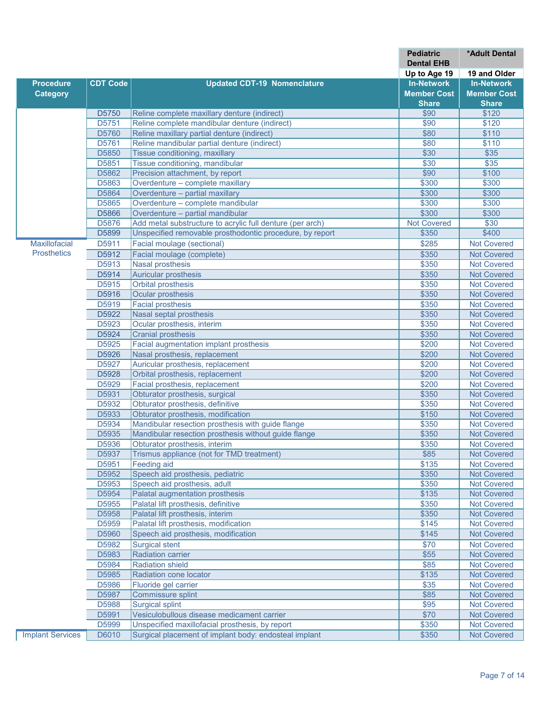|                         |                 |                                                           | <b>Pediatric</b>   | *Adult Dental      |
|-------------------------|-----------------|-----------------------------------------------------------|--------------------|--------------------|
|                         |                 |                                                           | <b>Dental EHB</b>  |                    |
|                         |                 |                                                           | Up to Age 19       | 19 and Older       |
| <b>Procedure</b>        | <b>CDT Code</b> | <b>Updated CDT-19 Nomenclature</b>                        | <b>In-Network</b>  | <b>In-Network</b>  |
| <b>Category</b>         |                 |                                                           | <b>Member Cost</b> | <b>Member Cost</b> |
|                         |                 |                                                           | <b>Share</b>       | <b>Share</b>       |
|                         | D5750           | Reline complete maxillary denture (indirect)              | \$90               | \$120              |
|                         | D5751           | Reline complete mandibular denture (indirect)             | \$90               | \$120              |
|                         | D5760           | Reline maxillary partial denture (indirect)               | \$80               | \$110              |
|                         | D5761           | Reline mandibular partial denture (indirect)              | \$80               | \$110              |
|                         | D5850           | Tissue conditioning, maxillary                            | \$30               | \$35               |
|                         | D5851           | Tissue conditioning, mandibular                           | \$30               | \$35               |
|                         | D5862           | Precision attachment, by report                           | \$90               | \$100              |
|                         | D5863           | Overdenture - complete maxillary                          | \$300              | \$300              |
|                         | D5864           | Overdenture - partial maxillary                           | \$300              | \$300              |
|                         | D5865           | Overdenture - complete mandibular                         | \$300              | \$300              |
|                         | D5866           | Overdenture - partial mandibular                          | \$300              | \$300              |
|                         | D5876           | Add metal substructure to acrylic full denture (per arch) | <b>Not Covered</b> | \$30               |
|                         | D5899           | Unspecified removable prosthodontic procedure, by report  | \$350              | \$400              |
| Maxillofacial           | D5911           | Facial moulage (sectional)                                | \$285              | <b>Not Covered</b> |
| <b>Prosthetics</b>      | D5912           | Facial moulage (complete)                                 | \$350              | <b>Not Covered</b> |
|                         | D5913           | <b>Nasal prosthesis</b>                                   | \$350              | <b>Not Covered</b> |
|                         | D5914           | <b>Auricular prosthesis</b>                               | \$350              | <b>Not Covered</b> |
|                         | D5915           | <b>Orbital prosthesis</b>                                 | \$350              | <b>Not Covered</b> |
|                         | D5916           | Ocular prosthesis                                         | \$350              | <b>Not Covered</b> |
|                         | D5919           | <b>Facial prosthesis</b>                                  | \$350              | <b>Not Covered</b> |
|                         | D5922           | Nasal septal prosthesis                                   | \$350              | <b>Not Covered</b> |
|                         | D5923           | Ocular prosthesis, interim                                | \$350              | <b>Not Covered</b> |
|                         | D5924           | <b>Cranial prosthesis</b>                                 | \$350              | <b>Not Covered</b> |
|                         | D5925           | Facial augmentation implant prosthesis                    | \$200              | <b>Not Covered</b> |
|                         | D5926           | Nasal prosthesis, replacement                             | \$200              | <b>Not Covered</b> |
|                         | D5927           | Auricular prosthesis, replacement                         | \$200              | <b>Not Covered</b> |
|                         | D5928           | Orbital prosthesis, replacement                           | \$200              | <b>Not Covered</b> |
|                         | D5929           | Facial prosthesis, replacement                            | \$200              | <b>Not Covered</b> |
|                         | D5931           | Obturator prosthesis, surgical                            | \$350              | <b>Not Covered</b> |
|                         | D5932           | Obturator prosthesis, definitive                          | \$350              | <b>Not Covered</b> |
|                         | D5933           | Obturator prosthesis, modification                        | \$150              | <b>Not Covered</b> |
|                         | D5934           | Mandibular resection prosthesis with guide flange         | \$350              | <b>Not Covered</b> |
|                         | D5935           | Mandibular resection prosthesis without guide flange      | \$350              | <b>Not Covered</b> |
|                         | D5936           | Obturator prosthesis, interim                             | \$350              | <b>Not Covered</b> |
|                         | D5937           | Trismus appliance (not for TMD treatment)                 | \$85               | <b>Not Covered</b> |
|                         | D5951           | Feeding aid                                               | \$135              | <b>Not Covered</b> |
|                         | D5952           | Speech aid prosthesis, pediatric                          | \$350              | <b>Not Covered</b> |
|                         | D5953           | Speech aid prosthesis, adult                              | \$350              | <b>Not Covered</b> |
|                         | D5954           | Palatal augmentation prosthesis                           | \$135              | <b>Not Covered</b> |
|                         | D5955           | Palatal lift prosthesis, definitive                       | \$350              | <b>Not Covered</b> |
|                         | D5958           | Palatal lift prosthesis, interim                          | \$350              | <b>Not Covered</b> |
|                         | D5959           | Palatal lift prosthesis, modification                     | \$145              | <b>Not Covered</b> |
|                         | D5960           | Speech aid prosthesis, modification                       | \$145              | <b>Not Covered</b> |
|                         | D5982           | <b>Surgical stent</b>                                     | \$70               | <b>Not Covered</b> |
|                         | D5983           | <b>Radiation carrier</b>                                  | \$55               | <b>Not Covered</b> |
|                         | D5984           | <b>Radiation shield</b>                                   | \$85               | <b>Not Covered</b> |
|                         | D5985           | Radiation cone locator                                    | \$135              | <b>Not Covered</b> |
|                         | D5986           | Fluoride gel carrier                                      | \$35               | <b>Not Covered</b> |
|                         | D5987           | Commissure splint                                         | \$85               | <b>Not Covered</b> |
|                         |                 |                                                           |                    |                    |
|                         | D5988           | <b>Surgical splint</b>                                    | \$95               | Not Covered        |
|                         | D5991           | Vesiculobullous disease medicament carrier                | \$70               | <b>Not Covered</b> |
|                         | D5999           | Unspecified maxillofacial prosthesis, by report           | \$350              | <b>Not Covered</b> |
| <b>Implant Services</b> | D6010           | Surgical placement of implant body: endosteal implant     | \$350              | <b>Not Covered</b> |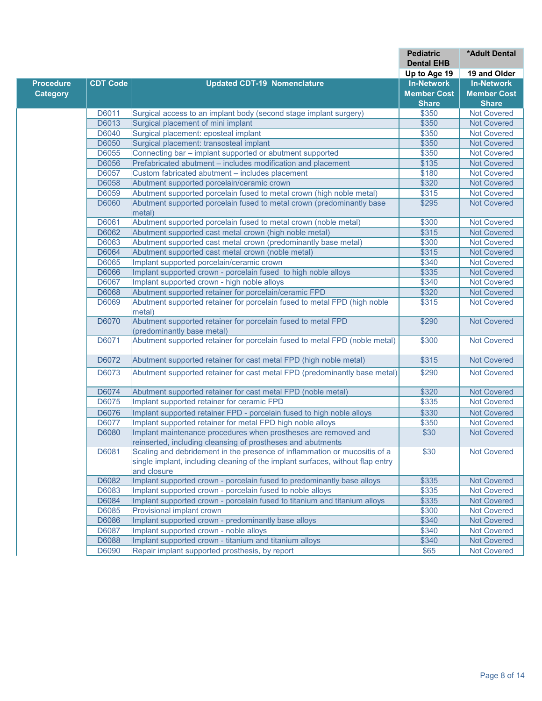|                              |                                                                                                                                                                            | <b>Pediatric</b><br><b>Dental EHB</b> | *Adult Dental      |
|------------------------------|----------------------------------------------------------------------------------------------------------------------------------------------------------------------------|---------------------------------------|--------------------|
|                              |                                                                                                                                                                            | Up to Age 19                          | 19 and Older       |
| <b>CDT Code</b><br>Procedure | <b>Updated CDT-19 Nomenclature</b>                                                                                                                                         | <b>In-Network</b>                     | <b>In-Network</b>  |
| <b>Category</b>              |                                                                                                                                                                            | <b>Member Cost</b>                    | <b>Member Cost</b> |
|                              |                                                                                                                                                                            | <b>Share</b>                          | <b>Share</b>       |
| D6011                        | Surgical access to an implant body (second stage implant surgery)                                                                                                          | \$350                                 | <b>Not Covered</b> |
| D6013                        | Surgical placement of mini implant                                                                                                                                         | \$350                                 | <b>Not Covered</b> |
| D6040                        | Surgical placement: eposteal implant                                                                                                                                       | \$350                                 | <b>Not Covered</b> |
| D6050                        | Surgical placement: transosteal implant                                                                                                                                    | \$350                                 | <b>Not Covered</b> |
| D6055                        | Connecting bar - implant supported or abutment supported                                                                                                                   | \$350                                 | <b>Not Covered</b> |
| D6056                        | Prefabricated abutment - includes modification and placement                                                                                                               | \$135                                 | <b>Not Covered</b> |
| D6057                        | Custom fabricated abutment - includes placement                                                                                                                            | \$180                                 | <b>Not Covered</b> |
| D6058                        | Abutment supported porcelain/ceramic crown                                                                                                                                 | \$320                                 | <b>Not Covered</b> |
| D6059                        | Abutment supported porcelain fused to metal crown (high noble metal)                                                                                                       | \$315                                 | <b>Not Covered</b> |
| D6060                        | Abutment supported porcelain fused to metal crown (predominantly base<br>metal)                                                                                            | \$295                                 | <b>Not Covered</b> |
| D6061                        | Abutment supported porcelain fused to metal crown (noble metal)                                                                                                            | \$300                                 | <b>Not Covered</b> |
| D6062                        | Abutment supported cast metal crown (high noble metal)                                                                                                                     | \$315                                 | <b>Not Covered</b> |
| D6063                        | Abutment supported cast metal crown (predominantly base metal)                                                                                                             | \$300                                 | <b>Not Covered</b> |
| D6064                        | Abutment supported cast metal crown (noble metal)                                                                                                                          | \$315                                 | <b>Not Covered</b> |
| D6065                        | Implant supported porcelain/ceramic crown                                                                                                                                  | \$340                                 | <b>Not Covered</b> |
| D6066                        | Implant supported crown - porcelain fused to high noble alloys                                                                                                             | \$335                                 | <b>Not Covered</b> |
| D6067                        | Implant supported crown - high noble alloys                                                                                                                                | \$340                                 | <b>Not Covered</b> |
| D6068                        | Abutment supported retainer for porcelain/ceramic FPD                                                                                                                      | \$320                                 | <b>Not Covered</b> |
| D6069                        | Abutment supported retainer for porcelain fused to metal FPD (high noble<br>metal)                                                                                         | \$315                                 | <b>Not Covered</b> |
| D6070                        | Abutment supported retainer for porcelain fused to metal FPD<br>(predominantly base metal)                                                                                 | \$290                                 | <b>Not Covered</b> |
| D6071                        | Abutment supported retainer for porcelain fused to metal FPD (noble metal)                                                                                                 | \$300                                 | <b>Not Covered</b> |
| D6072                        | Abutment supported retainer for cast metal FPD (high noble metal)                                                                                                          | \$315                                 | <b>Not Covered</b> |
| D6073                        | Abutment supported retainer for cast metal FPD (predominantly base metal)                                                                                                  | \$290                                 | <b>Not Covered</b> |
| D6074                        | Abutment supported retainer for cast metal FPD (noble metal)                                                                                                               | \$320                                 | <b>Not Covered</b> |
| D6075                        | Implant supported retainer for ceramic FPD                                                                                                                                 | \$335                                 | <b>Not Covered</b> |
| D6076                        | Implant supported retainer FPD - porcelain fused to high noble alloys                                                                                                      | \$330                                 | <b>Not Covered</b> |
| D6077                        | Implant supported retainer for metal FPD high noble alloys                                                                                                                 | \$350                                 | <b>Not Covered</b> |
| D6080                        | Implant maintenance procedures when prostheses are removed and<br>reinserted, including cleansing of prostheses and abutments                                              | \$30                                  | <b>Not Covered</b> |
| D6081                        | Scaling and debridement in the presence of inflammation or mucositis of a<br>single implant, including cleaning of the implant surfaces, without flap entry<br>and closure | \$30                                  | <b>Not Covered</b> |
| D6082                        | Implant supported crown - porcelain fused to predominantly base alloys                                                                                                     | \$335                                 | <b>Not Covered</b> |
| D6083                        | Implant supported crown - porcelain fused to noble alloys                                                                                                                  | \$335                                 | <b>Not Covered</b> |
| D6084                        | Implant supported crown - porcelain fused to titanium and titanium alloys                                                                                                  | \$335                                 | <b>Not Covered</b> |
| D6085                        | Provisional implant crown                                                                                                                                                  | \$300                                 | <b>Not Covered</b> |
| D6086                        | Implant supported crown - predominantly base alloys                                                                                                                        | \$340                                 | <b>Not Covered</b> |
| D6087                        | Implant supported crown - noble alloys                                                                                                                                     | \$340                                 | <b>Not Covered</b> |
| D6088                        | Implant supported crown - titanium and titanium alloys                                                                                                                     | \$340                                 | <b>Not Covered</b> |
| D6090                        | Repair implant supported prosthesis, by report                                                                                                                             | \$65                                  | <b>Not Covered</b> |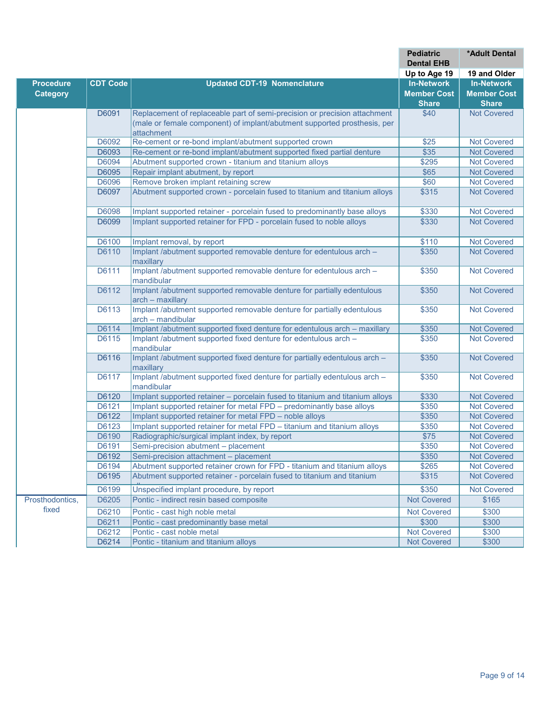|                  |                 |                                                                                             | <b>Pediatric</b><br><b>Dental EHB</b> | <b>*Adult Dental</b> |
|------------------|-----------------|---------------------------------------------------------------------------------------------|---------------------------------------|----------------------|
|                  |                 |                                                                                             | Up to Age 19                          | 19 and Older         |
| <b>Procedure</b> | <b>CDT Code</b> | <b>Updated CDT-19 Nomenclature</b>                                                          | <b>In-Network</b>                     | <b>In-Network</b>    |
| <b>Category</b>  |                 |                                                                                             | <b>Member Cost</b>                    | <b>Member Cost</b>   |
|                  |                 |                                                                                             | <b>Share</b>                          | <b>Share</b>         |
|                  | D6091           | Replacement of replaceable part of semi-precision or precision attachment                   | \$40                                  | <b>Not Covered</b>   |
|                  |                 | (male or female component) of implant/abutment supported prosthesis, per                    |                                       |                      |
|                  |                 | attachment                                                                                  |                                       |                      |
|                  | D6092           | Re-cement or re-bond implant/abutment supported crown                                       | \$25                                  | <b>Not Covered</b>   |
|                  | D6093           | Re-cement or re-bond implant/abutment supported fixed partial denture                       | \$35                                  | <b>Not Covered</b>   |
|                  | D6094           | Abutment supported crown - titanium and titanium alloys                                     | \$295                                 | <b>Not Covered</b>   |
|                  | D6095           | Repair implant abutment, by report                                                          | \$65                                  | <b>Not Covered</b>   |
|                  | D6096           | Remove broken implant retaining screw                                                       | \$60                                  | <b>Not Covered</b>   |
|                  | D6097           | Abutment supported crown - porcelain fused to titanium and titanium alloys                  | \$315                                 | <b>Not Covered</b>   |
|                  | D6098           | Implant supported retainer - porcelain fused to predominantly base alloys                   | \$330                                 | <b>Not Covered</b>   |
|                  | D6099           | Implant supported retainer for FPD - porcelain fused to noble alloys                        | \$330                                 | <b>Not Covered</b>   |
|                  | D6100           | Implant removal, by report                                                                  | \$110                                 | <b>Not Covered</b>   |
|                  | D6110           | Implant /abutment supported removable denture for edentulous arch -                         | \$350                                 | <b>Not Covered</b>   |
|                  |                 | maxillary                                                                                   |                                       |                      |
|                  | D6111           | Implant /abutment supported removable denture for edentulous arch -<br>mandibular           | \$350                                 | <b>Not Covered</b>   |
|                  | D6112           | Implant /abutment supported removable denture for partially edentulous<br>arch - maxillary  | \$350                                 | <b>Not Covered</b>   |
|                  | D6113           | Implant /abutment supported removable denture for partially edentulous<br>arch - mandibular | \$350                                 | <b>Not Covered</b>   |
|                  | D6114           | Implant /abutment supported fixed denture for edentulous arch - maxillary                   | \$350                                 | <b>Not Covered</b>   |
|                  | D6115           | Implant /abutment supported fixed denture for edentulous arch -<br>mandibular               | \$350                                 | <b>Not Covered</b>   |
|                  | D6116           | Implant /abutment supported fixed denture for partially edentulous arch -<br>maxillary      | \$350                                 | <b>Not Covered</b>   |
|                  | D6117           | Implant /abutment supported fixed denture for partially edentulous arch -                   | \$350                                 | <b>Not Covered</b>   |
|                  |                 | mandibular                                                                                  |                                       |                      |
|                  | D6120           | Implant supported retainer - porcelain fused to titanium and titanium alloys                | \$330                                 | <b>Not Covered</b>   |
|                  | D6121           | Implant supported retainer for metal FPD - predominantly base alloys                        | \$350                                 | <b>Not Covered</b>   |
|                  | D6122           | Implant supported retainer for metal FPD - noble alloys                                     | \$350                                 | <b>Not Covered</b>   |
|                  | D6123           | Implant supported retainer for metal FPD - titanium and titanium alloys                     | \$350                                 | <b>Not Covered</b>   |
|                  | D6190           | Radiographic/surgical implant index, by report                                              | \$75                                  | <b>Not Covered</b>   |
|                  | D6191           | Semi-precision abutment - placement                                                         | \$350                                 | <b>Not Covered</b>   |
|                  | D6192           | Semi-precision attachment - placement                                                       | \$350                                 | <b>Not Covered</b>   |
|                  | D6194           | Abutment supported retainer crown for FPD - titanium and titanium alloys                    | \$265                                 | <b>Not Covered</b>   |
|                  | D6195           | Abutment supported retainer - porcelain fused to titanium and titanium                      | \$315                                 | <b>Not Covered</b>   |
|                  | D6199           | Unspecified implant procedure, by report                                                    | \$350                                 | <b>Not Covered</b>   |
| Prosthodontics,  | D6205           | Pontic - indirect resin based composite                                                     | <b>Not Covered</b>                    | \$165                |
| fixed            | D6210           | Pontic - cast high noble metal                                                              | <b>Not Covered</b>                    | \$300                |
|                  | D6211           | Pontic - cast predominantly base metal                                                      | \$300                                 | \$300                |
|                  | D6212           | Pontic - cast noble metal                                                                   | <b>Not Covered</b>                    | \$300                |
|                  | D6214           | Pontic - titanium and titanium alloys                                                       | <b>Not Covered</b>                    | \$300                |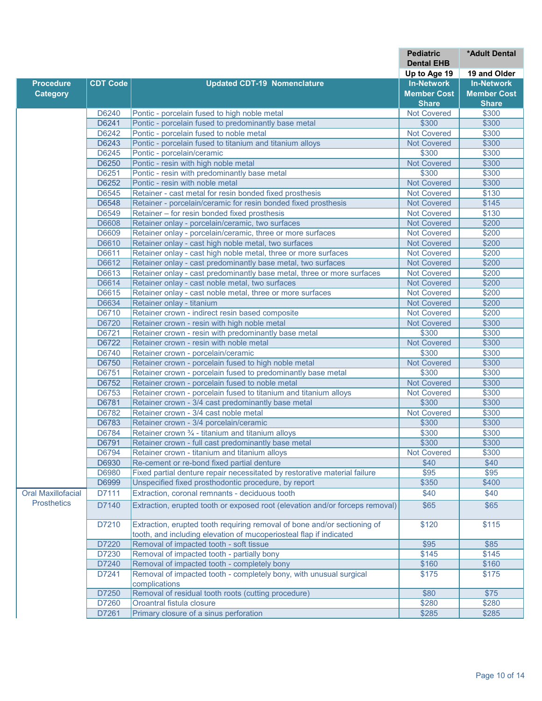|                    |                 |                                                                                     | <b>Pediatric</b>                  | *Adult Dental      |
|--------------------|-----------------|-------------------------------------------------------------------------------------|-----------------------------------|--------------------|
|                    |                 |                                                                                     | <b>Dental EHB</b>                 | 19 and Older       |
| <b>Procedure</b>   | <b>CDT Code</b> | <b>Updated CDT-19 Nomenclature</b>                                                  | Up to Age 19<br><b>In-Network</b> | <b>In-Network</b>  |
| <b>Category</b>    |                 |                                                                                     | <b>Member Cost</b>                | <b>Member Cost</b> |
|                    |                 |                                                                                     | <b>Share</b>                      | <b>Share</b>       |
|                    | D6240           | Pontic - porcelain fused to high noble metal                                        | <b>Not Covered</b>                | \$300              |
|                    | D6241           | Pontic - porcelain fused to predominantly base metal                                | \$300                             | \$300              |
|                    | D6242           | Pontic - porcelain fused to noble metal                                             | Not Covered                       | \$300              |
|                    | D6243           | Pontic - porcelain fused to titanium and titanium alloys                            | <b>Not Covered</b>                | \$300              |
|                    | D6245           | Pontic - porcelain/ceramic                                                          | \$300                             | \$300              |
|                    | D6250           | Pontic - resin with high noble metal                                                | <b>Not Covered</b>                | \$300              |
|                    | D6251           | Pontic - resin with predominantly base metal                                        | \$300                             | \$300              |
|                    | D6252           | Pontic - resin with noble metal                                                     | <b>Not Covered</b>                | \$300              |
|                    | D6545           | Retainer - cast metal for resin bonded fixed prosthesis                             | <b>Not Covered</b>                | \$130              |
|                    | D6548           | Retainer - porcelain/ceramic for resin bonded fixed prosthesis                      | <b>Not Covered</b>                | \$145              |
|                    | D6549           | Retainer – for resin bonded fixed prosthesis                                        | <b>Not Covered</b>                | \$130              |
|                    | D6608           | Retainer onlay - porcelain/ceramic, two surfaces                                    | <b>Not Covered</b>                | \$200              |
|                    | D6609           | Retainer onlay - porcelain/ceramic, three or more surfaces                          | <b>Not Covered</b>                | \$200              |
|                    | D6610           | Retainer onlay - cast high noble metal, two surfaces                                | <b>Not Covered</b>                | \$200              |
|                    | D6611           | Retainer onlay - cast high noble metal, three or more surfaces                      | <b>Not Covered</b>                | \$200              |
|                    | D6612           | Retainer onlay - cast predominantly base metal, two surfaces                        | <b>Not Covered</b>                | \$200              |
|                    | D6613           | Retainer onlay - cast predominantly base metal, three or more surfaces              | <b>Not Covered</b>                | \$200              |
|                    | D6614           | Retainer onlay - cast noble metal, two surfaces                                     | <b>Not Covered</b>                | \$200              |
|                    | D6615           | Retainer onlay - cast noble metal, three or more surfaces                           | <b>Not Covered</b>                | \$200              |
|                    | D6634           | Retainer onlay - titanium                                                           | <b>Not Covered</b>                | \$200              |
|                    | D6710           | Retainer crown - indirect resin based composite                                     | <b>Not Covered</b>                | \$200              |
|                    | D6720           | Retainer crown - resin with high noble metal                                        | <b>Not Covered</b>                | \$300              |
|                    | D6721           | Retainer crown - resin with predominantly base metal                                | \$300                             | \$300              |
|                    | D6722           | Retainer crown - resin with noble metal                                             | <b>Not Covered</b>                | \$300              |
|                    | D6740           | Retainer crown - porcelain/ceramic                                                  | \$300                             | \$300              |
|                    | D6750           | Retainer crown - porcelain fused to high noble metal                                | <b>Not Covered</b>                | \$300              |
|                    | D6751           | Retainer crown - porcelain fused to predominantly base metal                        | \$300                             | \$300              |
|                    | D6752           | Retainer crown - porcelain fused to noble metal                                     | <b>Not Covered</b>                | \$300              |
|                    | D6753           | Retainer crown - porcelain fused to titanium and titanium alloys                    | <b>Not Covered</b>                | \$300              |
|                    | D6781           | Retainer crown - 3/4 cast predominantly base metal                                  | \$300                             | \$300              |
|                    | D6782           | Retainer crown - 3/4 cast noble metal                                               | <b>Not Covered</b>                | \$300              |
|                    | D6783           | Retainer crown - 3/4 porcelain/ceramic                                              | \$300                             | \$300              |
|                    | D6784           | Retainer crown 3/4 - titanium and titanium alloys                                   | \$300                             | \$300              |
|                    | D6791           | Retainer crown - full cast predominantly base metal                                 | \$300                             | \$300              |
|                    | D6794           | Retainer crown - titanium and titanium alloys                                       | <b>Not Covered</b>                | \$300              |
|                    | D6930           | Re-cement or re-bond fixed partial denture                                          | \$40                              | \$40               |
|                    | D6980           | Fixed partial denture repair necessitated by restorative material failure           | \$95                              | \$95               |
|                    | D6999           | Unspecified fixed prosthodontic procedure, by report                                | \$350                             | \$400              |
| Oral Maxillofacial | D7111           | Extraction, coronal remnants - deciduous tooth                                      | \$40                              | \$40               |
| <b>Prosthetics</b> | D7140           | Extraction, erupted tooth or exposed root (elevation and/or forceps removal)        | \$65                              | \$65               |
|                    |                 |                                                                                     |                                   |                    |
|                    | D7210           | Extraction, erupted tooth requiring removal of bone and/or sectioning of            | \$120                             | \$115              |
|                    |                 | tooth, and including elevation of mucoperiosteal flap if indicated                  |                                   |                    |
|                    | D7220           | Removal of impacted tooth - soft tissue                                             | \$95                              | \$85               |
|                    | D7230           | Removal of impacted tooth - partially bony                                          | \$145                             | \$145              |
|                    | D7240           | Removal of impacted tooth - completely bony                                         | \$160                             | \$160              |
|                    | D7241           | Removal of impacted tooth - completely bony, with unusual surgical<br>complications | \$175                             | \$175              |
|                    | D7250           | Removal of residual tooth roots (cutting procedure)                                 | \$80                              | \$75               |
|                    | D7260           | Oroantral fistula closure                                                           | \$280                             | \$280              |
|                    | D7261           | Primary closure of a sinus perforation                                              | \$285                             | \$285              |
|                    |                 |                                                                                     |                                   |                    |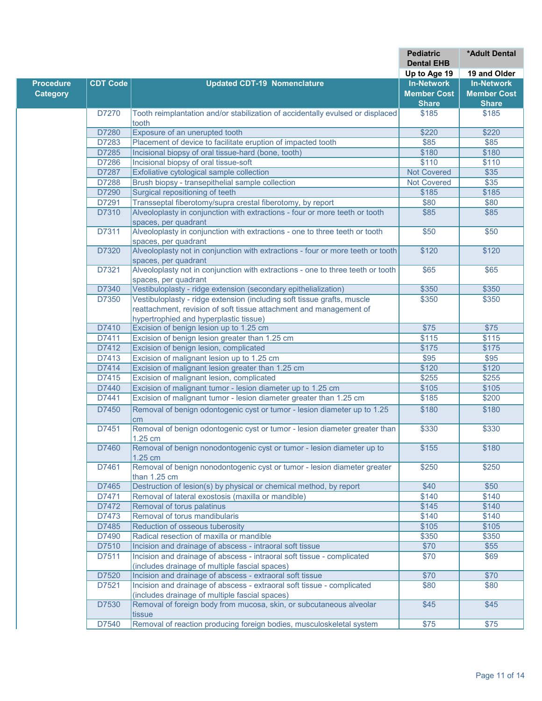|                  |                 |                                                                                              | <b>Pediatric</b><br><b>Dental EHB</b> | *Adult Dental      |
|------------------|-----------------|----------------------------------------------------------------------------------------------|---------------------------------------|--------------------|
|                  |                 |                                                                                              | Up to Age 19                          | 19 and Older       |
| <b>Procedure</b> | <b>CDT Code</b> | <b>Updated CDT-19 Nomenclature</b>                                                           | <b>In-Network</b>                     | <b>In-Network</b>  |
| <b>Category</b>  |                 |                                                                                              | <b>Member Cost</b>                    | <b>Member Cost</b> |
|                  |                 |                                                                                              | <b>Share</b>                          | <b>Share</b>       |
|                  | D7270           | Tooth reimplantation and/or stabilization of accidentally evulsed or displaced               | \$185                                 | \$185              |
|                  |                 | tooth                                                                                        |                                       |                    |
|                  | D7280           | Exposure of an unerupted tooth                                                               | \$220                                 | \$220              |
|                  | D7283           | Placement of device to facilitate eruption of impacted tooth                                 | \$85                                  | \$85               |
|                  | D7285<br>D7286  | Incisional biopsy of oral tissue-hard (bone, tooth)<br>Incisional biopsy of oral tissue-soft | \$180<br>\$110                        | \$180<br>\$110     |
|                  | D7287           | Exfoliative cytological sample collection                                                    | <b>Not Covered</b>                    | \$35               |
|                  | D7288           | Brush biopsy - transepithelial sample collection                                             | <b>Not Covered</b>                    | $\overline{$35}$   |
|                  | D7290           | Surgical repositioning of teeth                                                              | \$185                                 | \$185              |
|                  | D7291           | Transseptal fiberotomy/supra crestal fiberotomy, by report                                   | \$80                                  | \$80               |
|                  | D7310           | Alveoloplasty in conjunction with extractions - four or more teeth or tooth                  | \$85                                  | \$85               |
|                  |                 | spaces, per quadrant                                                                         |                                       |                    |
|                  | D7311           | Alveoloplasty in conjunction with extractions - one to three teeth or tooth                  | \$50                                  | \$50               |
|                  |                 | spaces, per quadrant                                                                         |                                       |                    |
|                  | D7320           | Alveoloplasty not in conjunction with extractions - four or more teeth or tooth              | \$120                                 | \$120              |
|                  |                 | spaces, per quadrant                                                                         |                                       |                    |
|                  | D7321           | Alveoloplasty not in conjunction with extractions - one to three teeth or tooth              | \$65                                  | \$65               |
|                  |                 | spaces, per quadrant                                                                         |                                       |                    |
|                  | D7340           | Vestibuloplasty - ridge extension (secondary epithelialization)                              | \$350                                 | \$350              |
|                  | D7350           | Vestibuloplasty - ridge extension (including soft tissue grafts, muscle                      | \$350                                 | \$350              |
|                  |                 | reattachment, revision of soft tissue attachment and management of                           |                                       |                    |
|                  | D7410           | hypertrophied and hyperplastic tissue)<br>Excision of benign lesion up to 1.25 cm            | \$75                                  | \$75               |
|                  | D7411           | Excision of benign lesion greater than 1.25 cm                                               | $\overline{$115}$                     | \$115              |
|                  | D7412           | Excision of benign lesion, complicated                                                       | \$175                                 | \$175              |
|                  | D7413           | Excision of malignant lesion up to 1.25 cm                                                   | \$95                                  | \$95               |
|                  | D7414           | Excision of malignant lesion greater than 1.25 cm                                            | \$120                                 | \$120              |
|                  | D7415           | Excision of malignant lesion, complicated                                                    | \$255                                 | \$255              |
|                  | D7440           | Excision of malignant tumor - lesion diameter up to 1.25 cm                                  | \$105                                 | \$105              |
|                  | D7441           | Excision of malignant tumor - lesion diameter greater than 1.25 cm                           | \$185                                 | \$200              |
|                  | D7450           | Removal of benign odontogenic cyst or tumor - lesion diameter up to 1.25                     | \$180                                 | \$180              |
|                  |                 | cm                                                                                           |                                       |                    |
|                  | D7451           | Removal of benign odontogenic cyst or tumor - lesion diameter greater than                   | \$330                                 | \$330              |
|                  |                 | 1.25 cm                                                                                      |                                       |                    |
|                  | D7460           | Removal of benign nonodontogenic cyst or tumor - lesion diameter up to<br>1.25 cm            | \$155                                 | \$180              |
|                  | D7461           | Removal of benign nonodontogenic cyst or tumor - lesion diameter greater<br>than 1.25 cm     | \$250                                 | \$250              |
|                  | D7465           | Destruction of lesion(s) by physical or chemical method, by report                           | \$40                                  | \$50               |
|                  | D7471           | Removal of lateral exostosis (maxilla or mandible)                                           | \$140                                 | \$140              |
|                  | D7472           | Removal of torus palatinus                                                                   | \$145                                 | \$140              |
|                  | D7473           | Removal of torus mandibularis                                                                | \$140                                 | \$140              |
|                  | D7485           | Reduction of osseous tuberosity                                                              | \$105                                 | \$105              |
|                  | D7490           | Radical resection of maxilla or mandible                                                     | \$350                                 | \$350              |
|                  | D7510           | Incision and drainage of abscess - intraoral soft tissue                                     | \$70                                  | \$55               |
|                  | D7511           | Incision and drainage of abscess - intraoral soft tissue - complicated                       | \$70                                  | \$69               |
|                  |                 | (includes drainage of multiple fascial spaces)                                               |                                       |                    |
|                  | D7520           | Incision and drainage of abscess - extraoral soft tissue                                     | \$70                                  | \$70               |
|                  | D7521           | Incision and drainage of abscess - extraoral soft tissue - complicated                       | \$80                                  | \$80               |
|                  |                 | (includes drainage of multiple fascial spaces)                                               |                                       |                    |
|                  | D7530           | Removal of foreign body from mucosa, skin, or subcutaneous alveolar<br>tissue                | \$45                                  | \$45               |
|                  | D7540           | Removal of reaction producing foreign bodies, musculoskeletal system                         | \$75                                  | \$75               |
|                  |                 |                                                                                              |                                       |                    |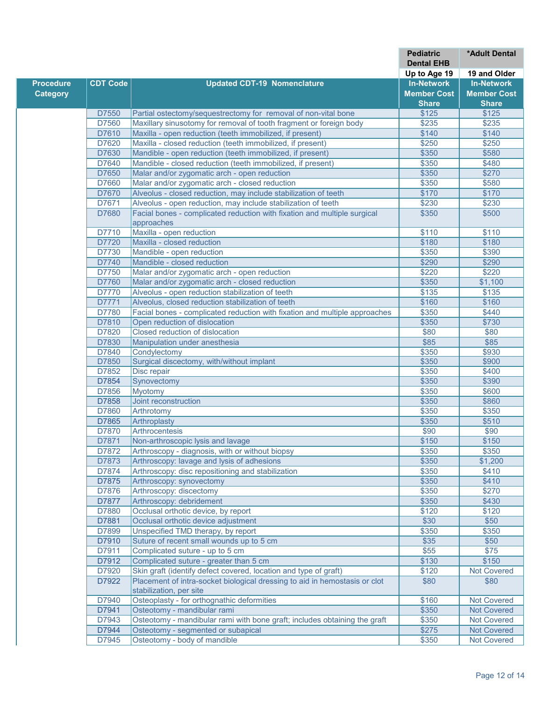|                  |                 |                                                                                        | <b>Pediatric</b><br><b>Dental EHB</b> | *Adult Dental      |
|------------------|-----------------|----------------------------------------------------------------------------------------|---------------------------------------|--------------------|
|                  |                 |                                                                                        | Up to Age 19                          | 19 and Older       |
| <b>Procedure</b> | <b>CDT Code</b> | <b>Updated CDT-19 Nomenclature</b>                                                     | <b>In-Network</b>                     | <b>In-Network</b>  |
| <b>Category</b>  |                 |                                                                                        | <b>Member Cost</b>                    | <b>Member Cost</b> |
|                  |                 |                                                                                        | <b>Share</b>                          | <b>Share</b>       |
|                  | D7550           | Partial ostectomy/sequestrectomy for removal of non-vital bone                         | \$125                                 | \$125              |
|                  | D7560           | Maxillary sinusotomy for removal of tooth fragment or foreign body                     | \$235                                 | \$235              |
|                  |                 |                                                                                        |                                       |                    |
|                  | D7610           | Maxilla - open reduction (teeth immobilized, if present)                               | \$140                                 | \$140              |
|                  | D7620           | Maxilla - closed reduction (teeth immobilized, if present)                             | \$250                                 | \$250              |
|                  | D7630           | Mandible - open reduction (teeth immobilized, if present)                              | \$350                                 | \$580              |
|                  | D7640           | Mandible - closed reduction (teeth immobilized, if present)                            | \$350                                 | \$480              |
|                  | D7650           | Malar and/or zygomatic arch - open reduction                                           | \$350                                 | \$270              |
|                  | D7660           | Malar and/or zygomatic arch - closed reduction                                         | \$350                                 | \$580              |
|                  | D7670           | Alveolus - closed reduction, may include stabilization of teeth                        | \$170                                 | \$170              |
|                  | D7671           | Alveolus - open reduction, may include stabilization of teeth                          | \$230                                 | \$230              |
|                  | D7680           | Facial bones - complicated reduction with fixation and multiple surgical<br>approaches | \$350                                 | \$500              |
|                  | D7710           | Maxilla - open reduction                                                               | \$110                                 | \$110              |
|                  | D7720           | Maxilla - closed reduction                                                             | \$180                                 | \$180              |
|                  | D7730           | Mandible - open reduction                                                              | \$350                                 | \$390              |
|                  | D7740           | Mandible - closed reduction                                                            | \$290                                 | \$290              |
|                  | D7750           | Malar and/or zygomatic arch - open reduction                                           | \$220                                 | \$220              |
|                  | D7760           | Malar and/or zygomatic arch - closed reduction                                         | \$350                                 | \$1,100            |
|                  | D7770           | Alveolus - open reduction stabilization of teeth                                       | \$135                                 | \$135              |
|                  | D7771           | Alveolus, closed reduction stabilization of teeth                                      | \$160                                 | \$160              |
|                  | D7780           | Facial bones - complicated reduction with fixation and multiple approaches             | \$350                                 | \$440              |
|                  | D7810           | Open reduction of dislocation                                                          | \$350                                 | \$730              |
|                  | D7820           | Closed reduction of dislocation                                                        | \$80                                  | \$80               |
|                  | D7830           | Manipulation under anesthesia                                                          | \$85                                  | \$85               |
|                  | D7840           | Condylectomy                                                                           | \$350                                 | \$930              |
|                  | D7850           | Surgical discectomy, with/without implant                                              | \$350                                 | \$900              |
|                  | D7852           | Disc repair                                                                            | \$350                                 | \$400              |
|                  | D7854           | Synovectomy                                                                            | \$350                                 | \$390              |
|                  | D7856           | <b>Myotomy</b>                                                                         | \$350                                 | \$600              |
|                  | D7858           | Joint reconstruction                                                                   | \$350                                 | \$860              |
|                  | D7860           |                                                                                        |                                       |                    |
|                  |                 | Arthrotomy                                                                             | \$350                                 | \$350              |
|                  | D7865           | Arthroplasty                                                                           | \$350                                 | \$510              |
|                  | D7870           | Arthrocentesis                                                                         | \$90                                  | \$90               |
|                  | D7871           | Non-arthroscopic lysis and lavage                                                      | \$150                                 | \$150              |
|                  | D7872           | Arthroscopy - diagnosis, with or without biopsy                                        | \$350                                 | \$350              |
|                  | D7873           | Arthroscopy: lavage and lysis of adhesions                                             | \$350                                 | \$1,200            |
|                  | D7874           | Arthroscopy: disc repositioning and stabilization                                      | \$350                                 | \$410              |
|                  | D7875           | Arthroscopy: synovectomy                                                               | \$350                                 | \$410              |
|                  | D7876           | Arthroscopy: discectomy                                                                | \$350                                 | \$270              |
|                  | D7877           | Arthroscopy: debridement                                                               | \$350                                 | \$430              |
|                  | D7880           | Occlusal orthotic device, by report                                                    | \$120                                 | \$120              |
|                  | D7881           | Occlusal orthotic device adjustment                                                    | \$30                                  | \$50               |
|                  | D7899           | Unspecified TMD therapy, by report                                                     | \$350                                 | \$350              |
|                  | D7910           | Suture of recent small wounds up to 5 cm                                               | \$35                                  | \$50               |
|                  | D7911           | Complicated suture - up to 5 cm                                                        | \$55                                  | \$75               |
|                  | D7912           | Complicated suture - greater than 5 cm                                                 | \$130                                 | \$150              |
|                  | D7920           | Skin graft (identify defect covered, location and type of graft)                       | \$120                                 | <b>Not Covered</b> |
|                  | D7922           | Placement of intra-socket biological dressing to aid in hemostasis or clot             | \$80                                  | \$80               |
|                  |                 | stabilization, per site                                                                |                                       |                    |
|                  | D7940           | Osteoplasty - for orthognathic deformities                                             | \$160                                 | <b>Not Covered</b> |
|                  | D7941           | Osteotomy - mandibular rami                                                            | \$350                                 | Not Covered        |
|                  | D7943           | Osteotomy - mandibular rami with bone graft; includes obtaining the graft              | \$350                                 | <b>Not Covered</b> |
|                  | D7944           | Osteotomy - segmented or subapical                                                     | \$275                                 | <b>Not Covered</b> |
|                  | D7945           | Osteotomy - body of mandible                                                           | \$350                                 | <b>Not Covered</b> |
|                  |                 |                                                                                        |                                       |                    |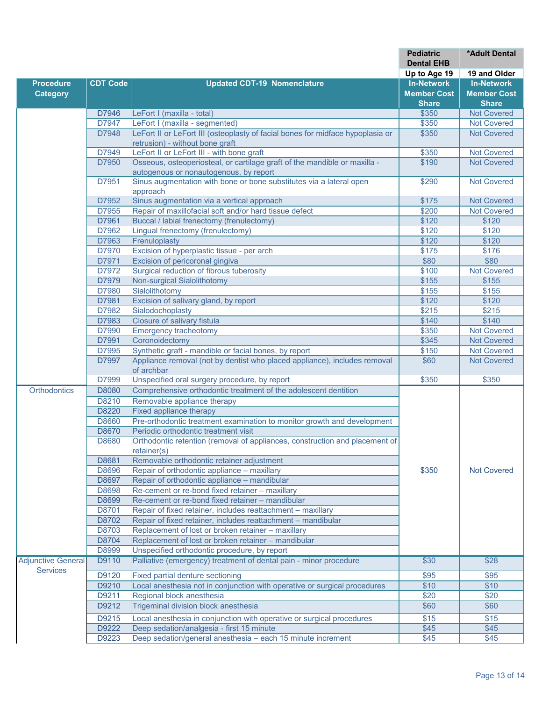|                                              |                 |                                                                                                                     | <b>Pediatric</b>   | <b>*Adult Dental</b> |
|----------------------------------------------|-----------------|---------------------------------------------------------------------------------------------------------------------|--------------------|----------------------|
|                                              |                 |                                                                                                                     | <b>Dental EHB</b>  |                      |
|                                              |                 |                                                                                                                     | Up to Age 19       | 19 and Older         |
| <b>Procedure</b>                             | <b>CDT Code</b> | <b>Updated CDT-19 Nomenclature</b>                                                                                  | <b>In-Network</b>  | <b>In-Network</b>    |
| <b>Category</b>                              |                 |                                                                                                                     | <b>Member Cost</b> | <b>Member Cost</b>   |
|                                              |                 |                                                                                                                     | <b>Share</b>       | <b>Share</b>         |
|                                              | D7946           | LeFort I (maxilla - total)                                                                                          | \$350              | <b>Not Covered</b>   |
|                                              | D7947           | LeFort I (maxilla - segmented)                                                                                      | \$350              | <b>Not Covered</b>   |
|                                              | D7948           | LeFort II or LeFort III (osteoplasty of facial bones for midface hypoplasia or                                      | \$350              | <b>Not Covered</b>   |
|                                              |                 | retrusion) - without bone graft                                                                                     |                    |                      |
|                                              | D7949           | LeFort II or LeFort III - with bone graft                                                                           | \$350              | <b>Not Covered</b>   |
|                                              | D7950           | Osseous, osteoperiosteal, or cartilage graft of the mandible or maxilla -<br>autogenous or nonautogenous, by report | \$190              | <b>Not Covered</b>   |
|                                              | D7951           | Sinus augmentation with bone or bone substitutes via a lateral open<br>approach                                     | \$290              | <b>Not Covered</b>   |
|                                              | D7952           | Sinus augmentation via a vertical approach                                                                          | \$175              | <b>Not Covered</b>   |
|                                              | D7955           | Repair of maxillofacial soft and/or hard tissue defect                                                              | \$200              | <b>Not Covered</b>   |
|                                              | D7961           | Buccal / labial frenectomy (frenulectomy)                                                                           | \$120              | \$120                |
|                                              | D7962           | Lingual frenectomy (frenulectomy)                                                                                   | \$120              | \$120                |
|                                              | D7963           | Frenuloplasty                                                                                                       | \$120              | \$120                |
|                                              | D7970           | Excision of hyperplastic tissue - per arch                                                                          | \$175              | \$176                |
|                                              | D7971           | Excision of pericoronal gingiva                                                                                     | \$80               | \$80                 |
|                                              | D7972           | Surgical reduction of fibrous tuberosity                                                                            | \$100              | <b>Not Covered</b>   |
|                                              | D7979           | <b>Non-surgical Sialolithotomy</b>                                                                                  | \$155              | \$155                |
|                                              | D7980           | Sialolithotomy                                                                                                      | \$155              | \$155                |
|                                              | D7981           | Excision of salivary gland, by report                                                                               | \$120              | \$120                |
|                                              | D7982           | Sialodochoplasty                                                                                                    | \$215              | \$215                |
|                                              | D7983           | Closure of salivary fistula                                                                                         | \$140              | \$140                |
|                                              | D7990           | <b>Emergency tracheotomy</b>                                                                                        | \$350              | <b>Not Covered</b>   |
|                                              | D7991           | Coronoidectomy                                                                                                      | \$345              | <b>Not Covered</b>   |
|                                              | D7995           | Synthetic graft - mandible or facial bones, by report                                                               | \$150              | <b>Not Covered</b>   |
|                                              | D7997           | Appliance removal (not by dentist who placed appliance), includes removal                                           | \$60               | <b>Not Covered</b>   |
|                                              |                 | of archbar                                                                                                          |                    |                      |
|                                              | D7999           | Unspecified oral surgery procedure, by report                                                                       | \$350              | \$350                |
| Orthodontics                                 | D8080           | Comprehensive orthodontic treatment of the adolescent dentition                                                     |                    |                      |
|                                              | D8210           | Removable appliance therapy                                                                                         |                    |                      |
|                                              | D8220           | <b>Fixed appliance therapy</b>                                                                                      |                    |                      |
|                                              | D8660           | Pre-orthodontic treatment examination to monitor growth and development                                             |                    |                      |
|                                              | D8670           | Periodic orthodontic treatment visit                                                                                |                    |                      |
|                                              | D8680           | Orthodontic retention (removal of appliances, construction and placement of                                         |                    |                      |
|                                              |                 | retainer(s)                                                                                                         |                    |                      |
|                                              | D8681           | Removable orthodontic retainer adjustment                                                                           |                    |                      |
|                                              | D8696           | Repair of orthodontic appliance - maxillary                                                                         | \$350              | <b>Not Covered</b>   |
|                                              | D8697           | Repair of orthodontic appliance - mandibular                                                                        |                    |                      |
|                                              | D8698           | Re-cement or re-bond fixed retainer - maxillary                                                                     |                    |                      |
|                                              | D8699           | Re-cement or re-bond fixed retainer - mandibular                                                                    |                    |                      |
|                                              | D8701           | Repair of fixed retainer, includes reattachment - maxillary                                                         |                    |                      |
|                                              | D8702           | Repair of fixed retainer, includes reattachment - mandibular                                                        |                    |                      |
|                                              | D8703           | Replacement of lost or broken retainer - maxillary                                                                  |                    |                      |
|                                              | D8704           | Replacement of lost or broken retainer - mandibular                                                                 |                    |                      |
|                                              | D8999           | Unspecified orthodontic procedure, by report                                                                        |                    |                      |
| <b>Adjunctive General</b><br><b>Services</b> | D9110           | Palliative (emergency) treatment of dental pain - minor procedure                                                   | \$30               | \$28                 |
|                                              | D9120           | Fixed partial denture sectioning                                                                                    | \$95               | \$95                 |
|                                              | D9210           | Local anesthesia not in conjunction with operative or surgical procedures                                           | \$10               | \$10                 |
|                                              | D9211           | Regional block anesthesia                                                                                           | \$20               | \$20                 |
|                                              | D9212           | Trigeminal division block anesthesia                                                                                | \$60               | \$60                 |
|                                              | D9215           | Local anesthesia in conjunction with operative or surgical procedures                                               | \$15               | \$15                 |
|                                              | D9222           | Deep sedation/analgesia - first 15 minute                                                                           | \$45               | \$45                 |
|                                              | D9223           | Deep sedation/general anesthesia - each 15 minute increment                                                         | \$45               | \$45                 |
|                                              |                 |                                                                                                                     |                    |                      |